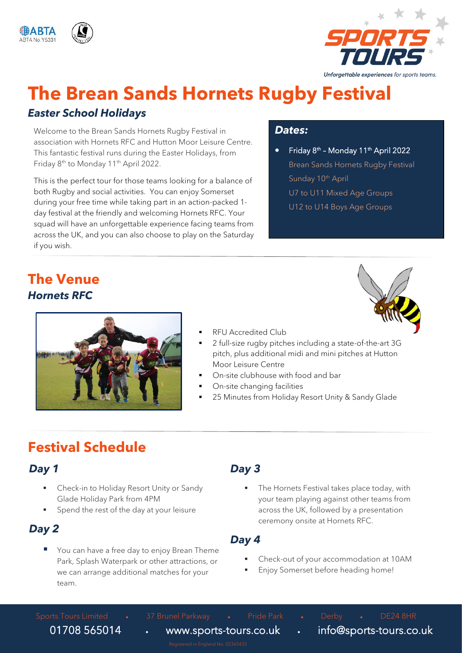



# **The Brean Sands Hornets Rugby Festival**

#### *Easter School Holidays*

Welcome to the Brean Sands Hornets Rugby Festival in association with Hornets RFC and Hutton Moor Leisure Centre. This fantastic festival runs during the Easter Holidays, from Friday 8<sup>th</sup> to Monday 11<sup>th</sup> April 2022.

This is the perfect tour for those teams looking for a balance of both Rugby and social activities. You can enjoy Somerset during your free time while taking part in an action-packed 1 day festival at the friendly and welcoming Hornets RFC. Your squad will have an unforgettable experience facing teams from across the UK, and you can also choose to play on the Saturday if you wish.

#### *Dates:*

• Friday 8<sup>th</sup> - Monday 11<sup>th</sup> April 2022 Brean Sands Hornets Rugby Festival Sunday 10<sup>th</sup> April U7 to U11 Mixed Age Groups U12 to U14 Boys Age Groups

### **The Venue** *Hornets RFC*



- 
- **RFU Accredited Club**
- 2 full-size rugby pitches including a state-of-the-art 3G pitch, plus additional midi and mini pitches at Hutton Moor Leisure Centre
- On-site clubhouse with food and bar
- On-site changing facilities
- 25 Minutes from Holiday Resort Unity & Sandy Glade

### **Festival Schedule**

#### *Day 1*

- Check-in to Holiday Resort Unity or Sandy Glade Holiday Park from 4PM
- Spend the rest of the day at your leisure

#### *Day 2*

You can have a free day to enjoy Brean Theme Park, Splash Waterpark or other attractions, or we can arrange additional matches for your team.

#### *Day 3*

The Hornets Festival takes place today, with your team playing against other teams from across the UK, followed by a presentation ceremony onsite at Hornets RFC.

#### *Day 4*

- Check-out of your accommodation at 10AM
- Enjoy Somerset before heading home!

Sports Tours Limited • 37 Brunel Parkway • Pride Park • Derby • DE24 8HR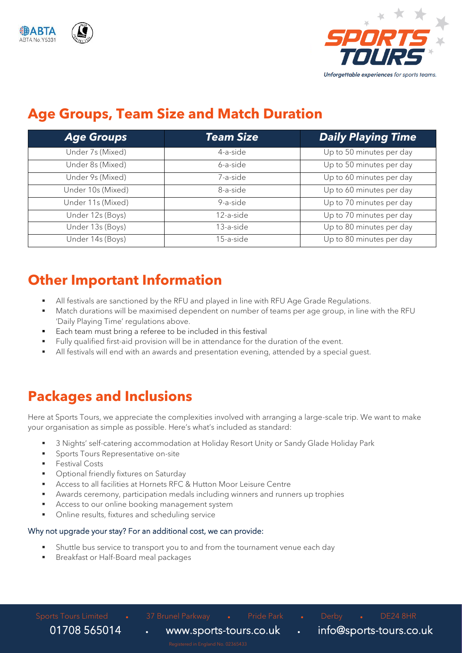



### **Age Groups, Team Size and Match Duration**

| <b>Age Groups</b> | <b>Team Size</b> | <b>Daily Playing Time</b> |
|-------------------|------------------|---------------------------|
| Under 7s (Mixed)  | 4-a-side         | Up to 50 minutes per day  |
| Under 8s (Mixed)  | 6-a-side         | Up to 50 minutes per day  |
| Under 9s (Mixed)  | 7-a-side         | Up to 60 minutes per day  |
| Under 10s (Mixed) | 8-a-side         | Up to 60 minutes per day  |
| Under 11s (Mixed) | 9-a-side         | Up to 70 minutes per day  |
| Under 12s (Boys)  | 12-a-side        | Up to 70 minutes per day  |
| Under 13s (Boys)  | $13$ -a-side     | Up to 80 minutes per day  |
| Under 14s (Boys)  | 15-a-side        | Up to 80 minutes per day  |

### **Other Important Information**

- All festivals are sanctioned by the RFU and played in line with RFU Age Grade Regulations.
- Match durations will be maximised dependent on number of teams per age group, in line with the RFU 'Daily Playing Time' regulations above.
- Each team must bring a referee to be included in this festival
- Fully qualified first-aid provision will be in attendance for the duration of the event.
- All festivals will end with an awards and presentation evening, attended by a special quest.

### **Packages and Inclusions**

Here at Sports Tours, we appreciate the complexities involved with arranging a large-scale trip. We want to make your organisation as simple as possible. Here's what's included as standard:

- 3 Nights' self-catering accommodation at Holiday Resort Unity or Sandy Glade Holiday Park
- Sports Tours Representative on-site
- **Eestival Costs**
- Optional friendly fixtures on Saturday
- Access to all facilities at Hornets RFC & Hutton Moor Leisure Centre
- Awards ceremony, participation medals including winners and runners up trophies
- Access to our online booking management system
- Online results, fixtures and scheduling service

#### Why not upgrade your stay? For an additional cost, we can provide:

- Shuttle bus service to transport you to and from the tournament venue each day
- Breakfast or Half-Board meal packages

Sports Tours Limited • 37 Brunel Parkway • Pride Park • Derby • DE24 8HR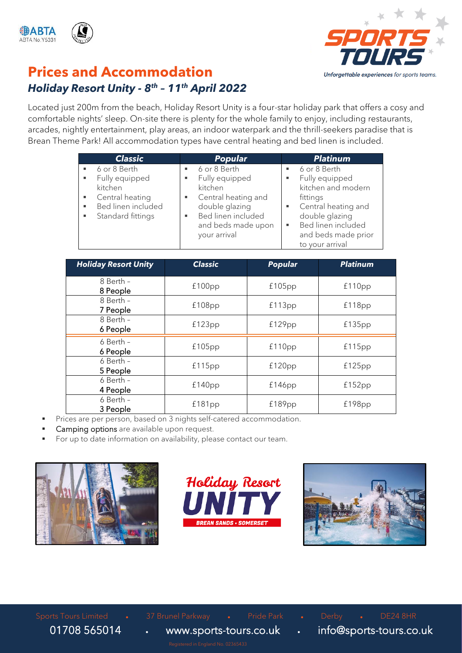



### **Prices and Accommodation** *Holiday Resort Unity - 8 th – 11 th April 2022*

Located just 200m from the beach, Holiday Resort Unity is a four-star holiday park that offers a cosy and comfortable nights' sleep. On-site there is plenty for the whole family to enjoy, including restaurants, arcades, nightly entertainment, play areas, an indoor waterpark and the thrill-seekers paradise that is Brean Theme Park! All accommodation types have central heating and bed linen is included.

| <b>Classic</b>                                                                                                         | <b>Popular</b>                                                                                                                                 | <b>Platinum</b>                                                                                                                                                                      |
|------------------------------------------------------------------------------------------------------------------------|------------------------------------------------------------------------------------------------------------------------------------------------|--------------------------------------------------------------------------------------------------------------------------------------------------------------------------------------|
| 6 or 8 Berth<br>Fully equipped<br>٠<br>kitchen<br>Central heating<br>Bed linen included<br>٠<br>Standard fittings<br>٠ | 6 or 8 Berth<br>Fully equipped<br>kitchen<br>Central heating and<br>double glazing<br>Bed linen included<br>and beds made upon<br>your arrival | 6 or 8 Berth<br>Fully equipped<br>٠<br>kitchen and modern<br>fittings<br>Central heating and<br>double glazing<br>Bed linen included<br>л.<br>and beds made prior<br>to your arrival |

| <b>Holiday Resort Unity</b> | <b>Classic</b> | <b>Popular</b> | <b>Platinum</b> |  |
|-----------------------------|----------------|----------------|-----------------|--|
| 8 Berth -<br>8 People       | $£100$ pp      | £105pp         | £110pp          |  |
| 8 Berth -<br>7 People       | $£108$ pp      | £113pp         | f118pp          |  |
| 8 Berth -<br>6 People       | £123pp         | f129pp         | £135pp          |  |
| $6$ Berth -<br>6 People     | £105pp         | f110pp         | f115pp          |  |
| $6$ Berth -<br>5 People     | £115pp         | f120pp         | £125pp          |  |
| 6 Berth -<br>4 People       | £140pp         | f146pp         | f152pp          |  |
| $6$ Berth -<br>3 People     | £181pp         | £189pp         | $£198$ pp       |  |

- Prices are per person, based on 3 nights self-catered accommodation.
- Camping options are available upon request.
- For up to date information on availability, please contact our team.





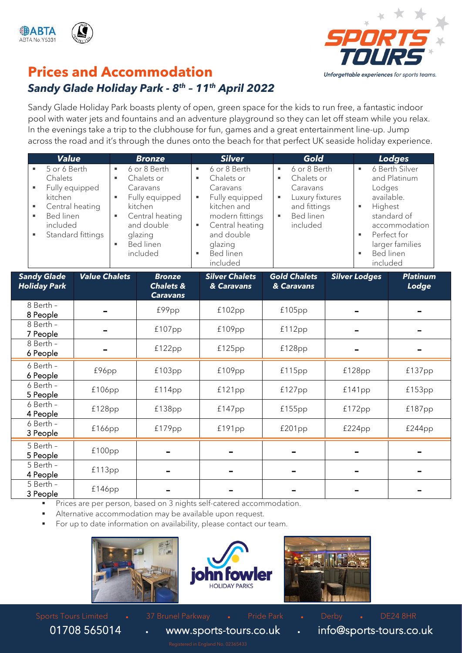



### **Prices and Accommodation**

#### *Sandy Glade Holiday Park - 8 th – 11th April 2022*

Sandy Glade Holiday Park boasts plenty of open, green space for the kids to run free, a fantastic indoor pool with water jets and fountains and an adventure playground so they can let off steam while you relax. In the evenings take a trip to the clubhouse for fun, games and a great entertainment line-up. Jump across the road and it's through the dunes onto the beach for that perfect UK seaside holiday experience.

|                       | <b>Value</b>                                                                                            |                      |                  | <b>Bronze</b>                                                                                                                                   |                  | <b>Silver</b>                                                                                                                                                          | Gold                                                                                                                            |                                                                             | <b>Lodges</b>                                                                                                                      |
|-----------------------|---------------------------------------------------------------------------------------------------------|----------------------|------------------|-------------------------------------------------------------------------------------------------------------------------------------------------|------------------|------------------------------------------------------------------------------------------------------------------------------------------------------------------------|---------------------------------------------------------------------------------------------------------------------------------|-----------------------------------------------------------------------------|------------------------------------------------------------------------------------------------------------------------------------|
| ٠<br>٠<br>٠<br>٠<br>٠ | 5 or 6 Berth<br>Chalets<br>Fully equipped<br>kitchen<br>Central heating<br><b>Bed linen</b><br>included | Standard fittings    | ٠<br>٠<br>٠<br>٠ | 6 or 8 Berth<br>Chalets or<br>Caravans<br>Fully equipped<br>kitchen<br>Central heating<br>and double<br>glazing<br><b>Bed linen</b><br>included | ٠<br>٠<br>Е<br>٠ | 6 or 8 Berth<br>Chalets or<br>Caravans<br>Fully equipped<br>kitchen and<br>modern fittings<br>Central heating<br>and double<br>glazing<br><b>Bed linen</b><br>included | 6 or 8 Berth<br>٠<br>Chalets or<br>ш<br>Caravans<br>Luxury fixtures<br>×,<br>and fittings<br><b>Bed linen</b><br>×.<br>included | $\blacksquare$<br>Lodges<br>Highest<br>$\blacksquare$<br>٠<br>٠<br>included | 6 Berth Silver<br>and Platinum<br>available.<br>standard of<br>accommodation<br>Perfect for<br>larger families<br><b>Bed linen</b> |
|                       | <b>Sandy Glade</b><br><b>Holiday Park</b>                                                               | <b>Value Chalets</b> |                  | <b>Bronze</b><br><b>Chalets &amp;</b><br><b>Caravans</b>                                                                                        |                  | <b>Silver Chalets</b><br>& Caravans                                                                                                                                    | <b>Gold Chalets</b><br>& Caravans                                                                                               | <b>Silver Lodges</b>                                                        | <b>Platinum</b><br>Lodge                                                                                                           |
|                       | 8 Berth -<br>8 People                                                                                   |                      |                  | £99pp                                                                                                                                           |                  | £102pp                                                                                                                                                                 | $£105$ pp                                                                                                                       |                                                                             |                                                                                                                                    |
|                       | 8 Berth -<br>7 People                                                                                   |                      |                  | £107pp                                                                                                                                          |                  | £109pp                                                                                                                                                                 | £112pp                                                                                                                          |                                                                             |                                                                                                                                    |
|                       | 8 Berth -<br>6 People                                                                                   |                      |                  | £122pp                                                                                                                                          |                  | £125pp                                                                                                                                                                 | £128pp                                                                                                                          |                                                                             |                                                                                                                                    |
|                       | 6 Berth -<br>6 People                                                                                   | £96pp                |                  | £103pp                                                                                                                                          |                  | £109pp                                                                                                                                                                 | £115pp                                                                                                                          | £128pp                                                                      | £137pp                                                                                                                             |
|                       | 6 Berth -<br>5 People                                                                                   | $£106$ pp            |                  | f114pp                                                                                                                                          |                  | £121pp                                                                                                                                                                 | £127pp                                                                                                                          | £141pp                                                                      | £153pp                                                                                                                             |
|                       | 6 Berth -<br>4 People                                                                                   | £128pp               |                  | £138pp                                                                                                                                          |                  | £147pp                                                                                                                                                                 | £155pp                                                                                                                          | £172pp                                                                      | £187pp                                                                                                                             |
|                       | 6 Berth -<br>3 People                                                                                   | £166pp               |                  | £179pp                                                                                                                                          |                  | £191pp                                                                                                                                                                 | £201pp                                                                                                                          | £224pp                                                                      | £244pp                                                                                                                             |
|                       | 5 Berth -<br>5 People                                                                                   | £100pp               |                  |                                                                                                                                                 |                  |                                                                                                                                                                        |                                                                                                                                 |                                                                             |                                                                                                                                    |
|                       | 5 Berth -<br>4 People                                                                                   | £113pp               |                  |                                                                                                                                                 |                  |                                                                                                                                                                        |                                                                                                                                 |                                                                             |                                                                                                                                    |

Prices are per person, based on 3 nights self-catered accommodation.

Alternative accommodation may be available upon request.

For up to date information on availability, please contact our team.





£146pp | - | - | - | - | -



5 Berth – 3 People